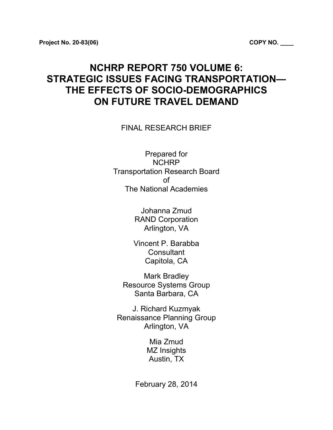# **NCHRP REPORT 750 VOLUME 6: STRATEGIC ISSUES FACING TRANSPORTATION— THE EFFECTS OF SOCIO-DEMOGRAPHICS ON FUTURE TRAVEL DEMAND**

FINAL RESEARCH BRIEF

Prepared for NCHRP Transportation Research Board of The National Academies

> Johanna Zmud RAND Corporation Arlington, VA

Vincent P. Barabba **Consultant** Capitola, CA

Mark Bradley Resource Systems Group Santa Barbara, CA

J. Richard Kuzmyak Renaissance Planning Group Arlington, VA

> Mia Zmud MZ Insights Austin, TX

February 28, 2014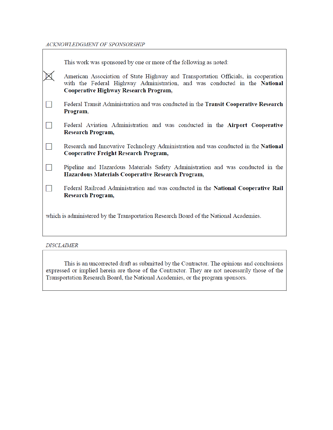ACKNOWLEDGMENT OF SPONSORSHIP

Ē

|                                                                                       | This work was sponsored by one or more of the following as noted:                                                                                                                                         |  |
|---------------------------------------------------------------------------------------|-----------------------------------------------------------------------------------------------------------------------------------------------------------------------------------------------------------|--|
|                                                                                       | American Association of State Highway and Transportation Officials, in cooperation<br>with the Federal Highway Administration, and was conducted in the National<br>Cooperative Highway Research Program, |  |
|                                                                                       | Federal Transit Administration and was conducted in the Transit Cooperative Research<br>Program,                                                                                                          |  |
|                                                                                       | Federal Aviation Administration and was conducted in the Airport Cooperative<br>Research Program,                                                                                                         |  |
|                                                                                       | Research and Innovative Technology Administration and was conducted in the National<br>Cooperative Freight Research Program,                                                                              |  |
|                                                                                       | Pipeline and Hazardous Materials Safety Administration and was conducted in the<br>Hazardous Materials Cooperative Research Program,                                                                      |  |
|                                                                                       | Federal Railroad Administration and was conducted in the National Cooperative Rail<br>Research Program,                                                                                                   |  |
| which is administered by the Transportation Research Board of the National Academies. |                                                                                                                                                                                                           |  |

# **DISCLAIMER**

This is an uncorrected draft as submitted by the Contractor. The opinions and conclusions<br>expressed or implied herein are those of the Contractor. They are not necessarily those of the Transportation Research Board, the National Academies, or the program sponsors.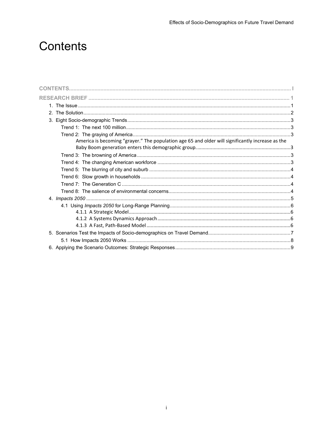# <span id="page-2-0"></span>**Contents**

| America is becoming "grayer." The population age 65 and older will significantly increase as the |  |
|--------------------------------------------------------------------------------------------------|--|
|                                                                                                  |  |
|                                                                                                  |  |
|                                                                                                  |  |
|                                                                                                  |  |
|                                                                                                  |  |
|                                                                                                  |  |
|                                                                                                  |  |
|                                                                                                  |  |
|                                                                                                  |  |
|                                                                                                  |  |
|                                                                                                  |  |
|                                                                                                  |  |
|                                                                                                  |  |
|                                                                                                  |  |
|                                                                                                  |  |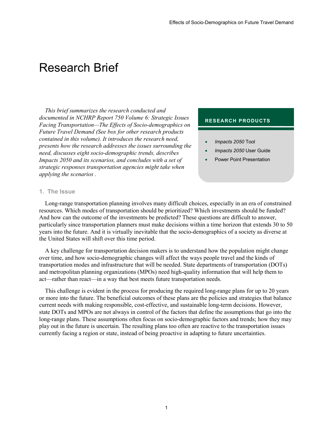# <span id="page-3-0"></span>Research Brief

*This brief summarizes the research conducted and documented in NCHRP Report 750 Volume 6: Strategic Issues Facing Transportation—The Effects of Socio-demographics on Future Travel Demand (See box for other research products contained in this volume). It introduces the research need, presents how the research addresses the issues surrounding the need, discusses eight socio-demographic trends, describes Impacts 2050 and its scenarios, and concludes with a set of strategic responses transportation agencies might take when applying the scenarios .*

#### **RESEARCH PRODUCTS**

- *Impacts 2050* Tool
- *Impacts 2050* User Guide
- Power Point Presentation

#### <span id="page-3-1"></span>**1. The Issue**

Long-range transportation planning involves many difficult choices, especially in an era of constrained resources. Which modes of transportation should be prioritized? Which investments should be funded? And how can the outcome of the investments be predicted? These questions are difficult to answer, particularly since transportation planners must make decisions within a time horizon that extends 30 to 50 years into the future. And it is virtually inevitable that the socio-demographics of a society as diverse at the United States will shift over this time period.

A key challenge for transportation decision makers is to understand how the population might change over time, and how socio-demographic changes will affect the ways people travel and the kinds of transportation modes and infrastructure that will be needed. State departments of transportation (DOTs) and metropolitan planning organizations (MPOs) need high-quality information that will help them to act—rather than react—in a way that best meets future transportation needs.

This challenge is evident in the process for producing the required long-range plans for up to 20 years or more into the future. The beneficial outcomes of these plans are the policies and strategies that balance current needs with making responsible, cost-effective, and sustainable long-term decisions. However, state DOTs and MPOs are not always in control of the factors that define the assumptions that go into the long-range plans. These assumptions often focus on socio-demographic factors and trends; how they may play out in the future is uncertain. The resulting plans too often are reactive to the transportation issues currently facing a region or state, instead of being proactive in adapting to future uncertainties.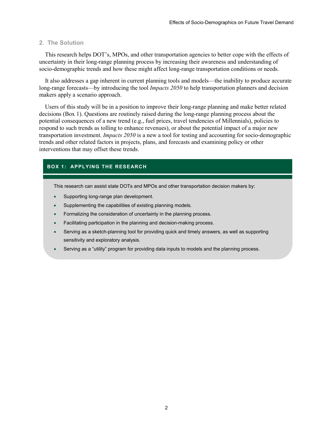#### <span id="page-4-0"></span>**2. The Solution**

This research helps DOT's, MPOs, and other transportation agencies to better cope with the effects of uncertainty in their long-range planning process by increasing their awareness and understanding of socio-demographic trends and how these might affect long-range transportation conditions or needs.

It also addresses a gap inherent in current planning tools and models—the inability to produce accurate long-range forecasts—by introducing the tool *Impacts 2050* to help transportation planners and decision makers apply a scenario approach.

Users of this study will be in a position to improve their long-range planning and make better related decisions (Box 1). Questions are routinely raised during the long-range planning process about the potential consequences of a new trend (e.g., fuel prices, travel tendencies of Millennials), policies to respond to such trends as tolling to enhance revenues), or about the potential impact of a major new transportation investment. *Impacts 2050* is a new a tool for testing and accounting for socio-demographic trends and other related factors in projects, plans, and forecasts and examining policy or other interventions that may offset these trends.

### **BOX 1: APPLYING THE RESEARCH**

This research can assist state DOTs and MPOs and other transportation decision makers by:

- Supporting long-range plan development.
- Supplementing the capabilities of existing planning models.
- Formalizing the consideration of uncertainty in the planning process.
- Facilitating participation in the planning and decision-making process.
- Serving as a sketch-planning tool for providing quick and timely answers, as well as supporting sensitivity and exploratory analysis.
- Serving as a "utility" program for providing data inputs to models and the planning process.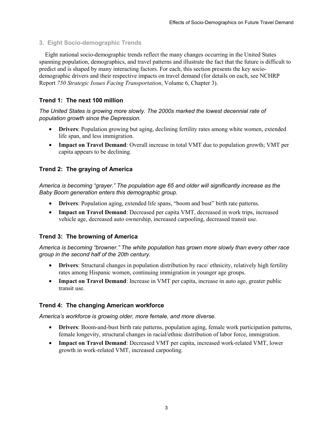## <span id="page-5-0"></span>**3. Eight Socio-demographic Trends**

Eight national socio-demographic trends reflect the many changes occurring in the United States spanning population, demographics, and travel patterns and illustrate the fact that the future is difficult to predict and is shaped by many interacting factors. For each, this section presents the key sociodemographic drivers and their respective impacts on travel demand (for details on each, see NCHRP Report *750 Strategic Issues Facing Transportation*, Volume 6, Chapter 3).

## <span id="page-5-1"></span>**Trend 1: The next 100 million**

## *The United States is growing more slowly. The 2000s marked the lowest decennial rate of population growth since the Depression.*

- **Drivers**: Population growing but aging, declining fertility rates among white women, extended life span, and less immigration.
- **Impact on Travel Demand**: Overall increase in total VMT due to population growth; VMT per capita appears to be declining.

# <span id="page-5-2"></span>**Trend 2: The graying of America**

<span id="page-5-3"></span>*America is becoming "grayer." The population age 65 and older will significantly increase as the Baby Boom generation enters this demographic group.*

- **Drivers**: Population aging, extended life spans, "boom and bust" birth rate patterns.
- **Impact on Travel Demand**: Decreased per capita VMT, decreased in work trips, increased vehicle age, decreased auto ownership, increased carpooling, decreased transit use.

## <span id="page-5-4"></span>**Trend 3: The browning of America**

*America is becoming "browner." The white population has grown more slowly than every other race group in the second half of the 20th century.*

- **Drivers**: Structural changes in population distribution by race/ ethnicity, relatively high fertility rates among Hispanic women, continuing immigration in younger age groups.
- **Impact on Travel Demand**: Increase in VMT per capita, increase in auto age, greater public transit use.

## <span id="page-5-5"></span>**Trend 4: The changing American workforce**

*America's workforce is growing older, more female, and more diverse.*

- **Drivers**: Boom-and-bust birth rate patterns, population aging, female work participation patterns, female longevity, structural changes in racial/ethnic distribution of labor force, immigration.
- **Impact on Travel Demand**: Decreased VMT per capita, increased work-related VMT, lower growth in work-related VMT, increased carpooling.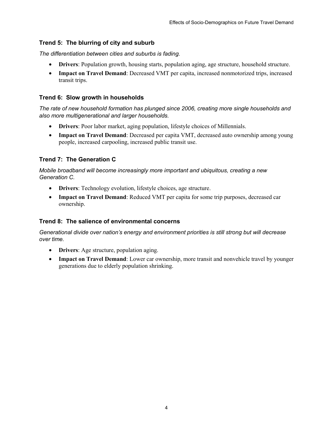# <span id="page-6-0"></span>**Trend 5: The blurring of city and suburb**

*The differentiation between cities and suburbs is fading.*

- **Drivers**: Population growth, housing starts, population aging, age structure, household structure.
- **Impact on Travel Demand**: Decreased VMT per capita, increased nonmotorized trips, increased transit trips.

## <span id="page-6-1"></span>**Trend 6: Slow growth in households**

*The rate of new household formation has plunged since 2006, creating more single households and also more multigenerational and larger households.*

- **Drivers**: Poor labor market, aging population, lifestyle choices of Millennials.
- **Impact on Travel Demand**: Decreased per capita VMT, decreased auto ownership among young people, increased carpooling, increased public transit use.

# <span id="page-6-2"></span>**Trend 7: The Generation C**

*Mobile broadband will become increasingly more important and ubiquitous, creating a new Generation C.*

- **Drivers**: Technology evolution, lifestyle choices, age structure.
- **Impact on Travel Demand**: Reduced VMT per capita for some trip purposes, decreased car ownership.

# <span id="page-6-3"></span>**Trend 8: The salience of environmental concerns**

*Generational divide over nation's energy and environment priorities is still strong but will decrease over time.*

- **Drivers**: Age structure, population aging.
- **Impact on Travel Demand**: Lower car ownership, more transit and nonvehicle travel by younger generations due to elderly population shrinking.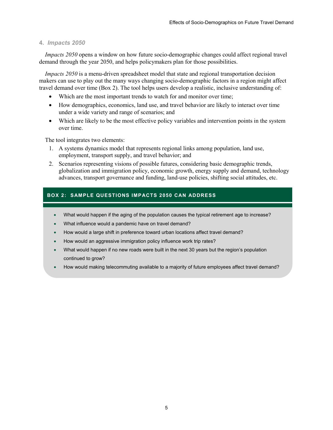## <span id="page-7-0"></span>**4.** *Impacts 2050*

*Impacts 2050* opens a window on how future socio-demographic changes could affect regional travel demand through the year 2050, and helps policymakers plan for those possibilities.

*Impacts 2050* is a menu-driven spreadsheet model that state and regional transportation decision makers can use to play out the many ways changing socio-demographic factors in a region might affect travel demand over time (Box 2). The tool helps users develop a realistic, inclusive understanding of:

- Which are the most important trends to watch for and monitor over time;
- How demographics, economics, land use, and travel behavior are likely to interact over time under a wide variety and range of scenarios; and
- Which are likely to be the most effective policy variables and intervention points in the system over time.

The tool integrates two elements:

- 1. A systems dynamics model that represents regional links among population, land use, employment, transport supply, and travel behavior; and
- 2. Scenarios representing visions of possible futures, considering basic demographic trends, globalization and immigration policy, economic growth, energy supply and demand, technology advances, transport governance and funding, land-use policies, shifting social attitudes, etc.

# **BOX 2: SAMPLE QUESTIONS IMPACTS 2050 CAN ADDRESS**

- What would happen if the aging of the population causes the typical retirement age to increase?
- What influence would a pandemic have on travel demand?
- How would a large shift in preference toward urban locations affect travel demand?
- How would an aggressive immigration policy influence work trip rates?
- What would happen if no new roads were built in the next 30 years but the region's population continued to grow?
- How would making telecommuting available to a majority of future employees affect travel demand?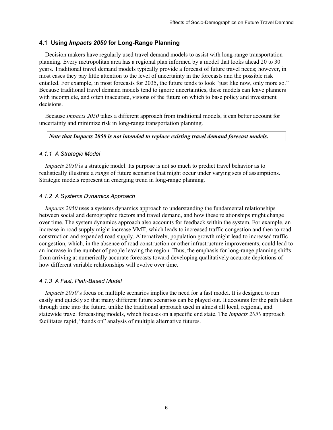## <span id="page-8-0"></span>**4.1 Using** *Impacts 2050* **for Long-Range Planning**

Decision makers have regularly used travel demand models to assist with long-range transportation planning. Every metropolitan area has a regional plan informed by a model that looks ahead 20 to 30 years. Traditional travel demand models typically provide a forecast of future travel needs; however, in most cases they pay little attention to the level of uncertainty in the forecasts and the possible risk entailed. For example, in most forecasts for 2035, the future tends to look "just like now, only more so." Because traditional travel demand models tend to ignore uncertainties, these models can leave planners with incomplete, and often inaccurate, visions of the future on which to base policy and investment decisions.

Because *Impacts 2050* takes a different approach from traditional models, it can better account for uncertainty and minimize risk in long-range transportation planning.

#### *Note that Impacts 2050 is not intended to replace existing travel demand forecast models.*

#### <span id="page-8-1"></span>*4.1.1 A Strategic Model*

*Impacts 2050* is a strategic model. Its purpose is not so much to predict travel behavior as to realistically illustrate a *range* of future scenarios that might occur under varying sets of assumptions. Strategic models represent an emerging trend in long-range planning.

#### <span id="page-8-2"></span>*4.1.2 A Systems Dynamics Approach*

*Impacts 2050* uses a systems dynamics approach to understanding the fundamental relationships between social and demographic factors and travel demand, and how these relationships might change over time. The system dynamics approach also accounts for feedback within the system. For example, an increase in road supply might increase VMT, which leads to increased traffic congestion and then to road construction and expanded road supply. Alternatively, population growth might lead to increased traffic congestion, which, in the absence of road construction or other infrastructure improvements, could lead to an increase in the number of people leaving the region. Thus, the emphasis for long-range planning shifts from arriving at numerically accurate forecasts toward developing qualitatively accurate depictions of how different variable relationships will evolve over time.

#### <span id="page-8-3"></span>*4.1.3 A Fast, Path-Based Model*

*Impacts 2050*'s focus on multiple scenarios implies the need for a fast model. It is designed to run easily and quickly so that many different future scenarios can be played out. It accounts for the path taken through time into the future, unlike the traditional approach used in almost all local, regional, and statewide travel forecasting models, which focuses on a specific end state. The *Impacts 2050* approach facilitates rapid, "hands on" analysis of multiple alternative futures.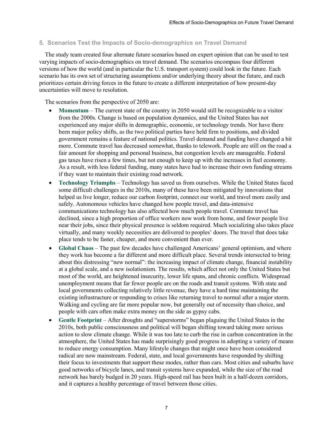## <span id="page-9-0"></span>**5. Scenarios Test the Impacts of Socio-demographics on Travel Demand**

The study team created four alternate future scenarios based on expert opinion that can be used to test varying impacts of socio-demographics on travel demand. The scenarios encompass four different versions of how the world (and in particular the U.S. transport system) could look in the future. Each scenario has its own set of structuring assumptions and/or underlying theory about the future, and each prioritizes certain driving forces in the future to create a different interpretation of how present-day uncertainties will move to resolution.

The scenarios from the perspective of 2050 are:

- **Momentum** The current state of the country in 2050 would still be recognizable to a visitor from the 2000s. Change is based on population dynamics, and the United States has not experienced any major shifts in demographic, economic, or technology trends. Nor have there been major policy shifts, as the two political parties have held firm to positions, and divided government remains a feature of national politics. Travel demand and funding have changed a bit more. Commute travel has decreased somewhat, thanks to telework. People are still on the road a fair amount for shopping and personal business, but congestion levels are manageable. Federal gas taxes have risen a few times, but not enough to keep up with the increases in fuel economy. As a result, with less federal funding, many states have had to increase their own funding streams if they want to maintain their existing road network.
- **Technology Triumphs** Technology has saved us from ourselves. While the United States faced some difficult challenges in the 2010s, many of these have been mitigated by innovations that helped us live longer, reduce our carbon footprint, connect our world, and travel more easily and safely. Autonomous vehicles have changed how people travel, and data-intensive communications technology has also affected how much people travel. Commute travel has declined, since a high proportion of office workers now work from home, and fewer people live near their jobs, since their physical presence is seldom required. Much socializing also takes place virtually, and many weekly necessities are delivered to peoples' doors. The travel that does take place tends to be faster, cheaper, and more convenient than ever.
- **Global Chaos** The past few decades have challenged Americans' general optimism, and where they work has become a far different and more difficult place. Several trends intersected to bring about this distressing "new normal": the increasing impact of climate change, financial instability at a global scale, and a new isolationism. The results, which affect not only the United States but most of the world, are heightened insecurity, lower life spans, and chronic conflicts. Widespread unemployment means that far fewer people are on the roads and transit systems. With state and local governments collecting relatively little revenue, they have a hard time maintaining the existing infrastructure or responding to crises like returning travel to normal after a major storm. Walking and cycling are far more popular now, but generally out of necessity than choice, and people with cars often make extra money on the side as gypsy cabs.
- **Gentle Footprint** After droughts and "superstorms" began plaguing the United States in the 2010s, both public consciousness and political will began shifting toward taking more serious action to slow climate change. While it was too late to curb the rise in carbon concentration in the atmosphere, the United States has made surprisingly good progress in adopting a variety of means to reduce energy consumption. Many lifestyle changes that might once have been considered radical are now mainstream. Federal, state, and local governments have responded by shifting their focus to investments that support these modes, rather than cars. Most cities and suburbs have good networks of bicycle lanes, and transit systems have expanded, while the size of the road network has barely budged in 20 years. High-speed rail has been built in a half-dozen corridors, and it captures a healthy percentage of travel between those cities.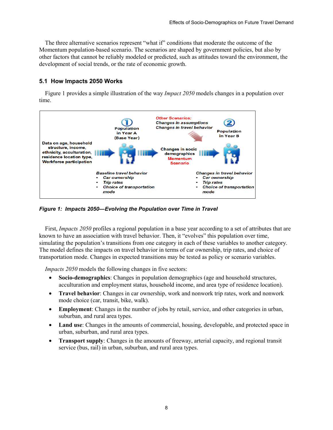The three alternative scenarios represent "what if" conditions that moderate the outcome of the Momentum population-based scenario. The scenarios are shaped by government policies, but also by other factors that cannot be reliably modeled or predicted, such as attitudes toward the environment, the development of social trends, or the rate of economic growth.

# <span id="page-10-0"></span>**5.1 How Impacts 2050 Works**

Figure 1 provides a simple illustration of the way *Impact 2050* models changes in a population over time.



*Figure 1: Impacts 2050—Evolving the Population over Time in Travel* 

First, *Impacts 2050* profiles a regional population in a base year according to a set of attributes that are known to have an association with travel behavior. Then, it "evolves" this population over time, simulating the population's transitions from one category in each of these variables to another category. The model defines the impacts on travel behavior in terms of car ownership, trip rates, and choice of transportation mode. Changes in expected transitions may be tested as policy or scenario variables.

*Impacts 2050* models the following changes in five sectors:

- **Socio-demographics**: Changes in population demographics (age and household structures, acculturation and employment status, household income, and area type of residence location).
- **Travel behavior**: Changes in car ownership, work and nonwork trip rates, work and nonwork mode choice (car, transit, bike, walk).
- **Employment**: Changes in the number of jobs by retail, service, and other categories in urban, suburban, and rural area types.
- Land use: Changes in the amounts of commercial, housing, developable, and protected space in urban, suburban, and rural area types.
- **Transport supply**: Changes in the amounts of freeway, arterial capacity, and regional transit service (bus, rail) in urban, suburban, and rural area types.